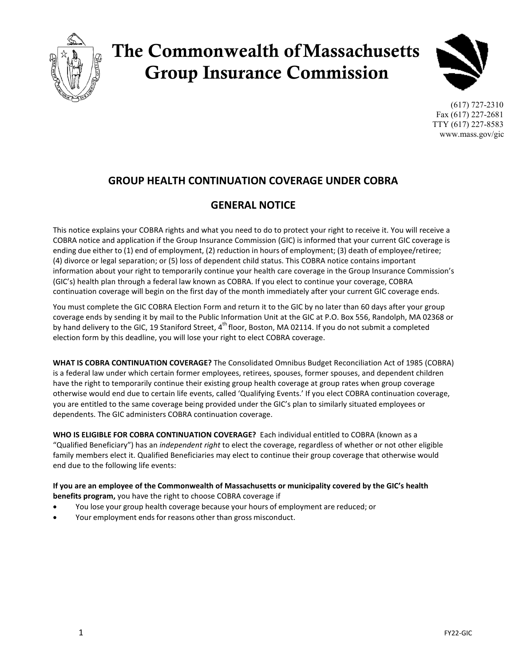

# The Commonwealth ofMassachusetts Group Insurance Commission



(617) 727-2310 Fax (617) 227-2681 TTY (617) 227-8583 [www.mass.gov/gic](http://www.mass.gov/gic)

## **GROUP HEALTH CONTINUATION COVERAGE UNDER COBRA**

## **GENERAL NOTICE**

This notice explains your COBRA rights and what you need to do to protect your right to receive it. You will receive a COBRA notice and application if the Group Insurance Commission (GIC) is informed that your current GIC coverage is ending due either to (1) end of employment, (2) reduction in hours of employment; (3) death of employee/retiree; (4) divorce or legal separation; or (5) loss of dependent child status. This COBRA notice contains important information about your right to temporarily continue your health care coverage in the Group Insurance Commission's (GIC's) health plan through a federal law known as COBRA. If you elect to continue your coverage, COBRA continuation coverage will begin on the first day of the month immediately after your current GIC coverage ends.

You must complete the GIC COBRA Election Form and return it to the GIC by no later than 60 days after your group coverage ends by sending it by mail to the Public Information Unit at the GIC at P.O. Box 556, Randolph, MA 02368 or by hand delivery to the GIC, 19 Staniford Street, 4<sup>th</sup> floor, Boston, MA 02114. If you do not submit a completed election form by this deadline, you will lose your right to elect COBRA coverage.

**WHAT IS COBRA CONTINUATION COVERAGE?** The Consolidated Omnibus Budget Reconciliation Act of 1985 (COBRA) is a federal law under which certain former employees, retirees, spouses, former spouses, and dependent children have the right to temporarily continue their existing group health coverage at group rates when group coverage otherwise would end due to certain life events, called 'Qualifying Events.' If you elect COBRA continuation coverage, you are entitled to the same coverage being provided under the GIC's plan to similarly situated employees or dependents. The GIC administers COBRA continuation coverage.

**WHO IS ELIGIBLE FOR COBRA CONTINUATION COVERAGE?** Each individual entitled to COBRA (known as a "Qualified Beneficiary") has an *independent right* to elect the coverage, regardless of whether or not other eligible family members elect it. Qualified Beneficiaries may elect to continue their group coverage that otherwise would end due to the following life events:

**If you are an employee of the Commonwealth of Massachusetts or municipality covered by the GIC's health benefits program,** you have the right to choose COBRA coverage if

- You lose your group health coverage because your hours of employment are reduced; or
- Your employment ends for reasons other than gross misconduct.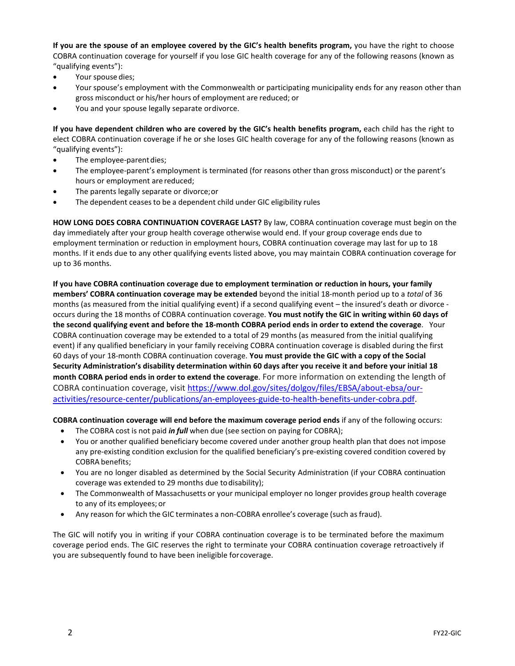**If you are the spouse of an employee covered by the GIC's health benefits program,** you have the right to choose COBRA continuation coverage for yourself if you lose GIC health coverage for any of the following reasons (known as "qualifying events"):

- Your spouse dies;
- Your spouse's employment with the Commonwealth or participating municipality ends for any reason other than gross misconduct or his/her hours of employment are reduced; or
- You and your spouse legally separate ordivorce.

**If you have dependent children who are covered by the GIC's health benefits program,** each child has the right to elect COBRA continuation coverage if he or she loses GIC health coverage for any of the following reasons (known as "qualifying events"):

- The employee-parent dies;
- The employee-parent's employment is terminated (for reasons other than gross misconduct) or the parent's hours or employment are reduced;
- The parents legally separate or divorce; or
- The dependent ceases to be a dependent child under GIC eligibility rules

**HOW LONG DOES COBRA CONTINUATION COVERAGE LAST?** By law, COBRA continuation coverage must begin on the day immediately after your group health coverage otherwise would end. If your group coverage ends due to employment termination or reduction in employment hours, COBRA continuation coverage may last for up to 18 months. If it ends due to any other qualifying events listed above, you may maintain COBRA continuation coverage for up to 36 months.

**If you have COBRA continuation coverage due to employment termination or reduction in hours, your family members' COBRA continuation coverage may be extended** beyond the initial 18-month period up to a *total* of 36 months (as measured from the initial qualifying event) if a second qualifying event – the insured's death or divorce occurs during the 18 months of COBRA continuation coverage. **You must notify the GIC in writing within 60 days of the second qualifying event and before the 18-month COBRA period ends in order to extend the coverage**. Your COBRA continuation coverage may be extended to a total of 29 months (as measured from the initial qualifying event) if any qualified beneficiary in your family receiving COBRA continuation coverage is disabled during the first 60 days of your 18-month COBRA continuation coverage. **You must provide the GIC with a copy of the Social Security Administration's disability determination within 60 days after you receive it and before your initial 18 month COBRA period ends in order to extend the coverage**. For more information on extending the length of COBRA continuation coverage, visit [https://www.dol.gov/sites/dolgov/files/EBSA/about-ebsa/our](https://www.dol.gov/sites/dolgov/files/EBSA/about-ebsa/our-activities/resource-center/publications/an-employees-guide-to-health-benefits-under-cobra.pdf)[activities/resource-center/publications/an-employees-guide-to-health-benefits-under-cobra.pdf.](https://www.dol.gov/sites/dolgov/files/EBSA/about-ebsa/our-activities/resource-center/publications/an-employees-guide-to-health-benefits-under-cobra.pdf)

**COBRA continuation coverage will end before the maximum coverage period ends** if any of the following occurs:

- The COBRA cost is not paid *in full* when due (see section on paying for COBRA);
- You or another qualified beneficiary become covered under another group health plan that does not impose any pre-existing condition exclusion for the qualified beneficiary's pre-existing covered condition covered by COBRA benefits;
- You are no longer disabled as determined by the Social Security Administration (if your COBRA continuation coverage was extended to 29 months due todisability);
- The Commonwealth of Massachusetts or your municipal employer no longer provides group health coverage to any of its employees; or
- Any reason for which the GIC terminates a non-COBRA enrollee's coverage (such as fraud).

The GIC will notify you in writing if your COBRA continuation coverage is to be terminated before the maximum coverage period ends. The GIC reserves the right to terminate your COBRA continuation coverage retroactively if you are subsequently found to have been ineligible forcoverage.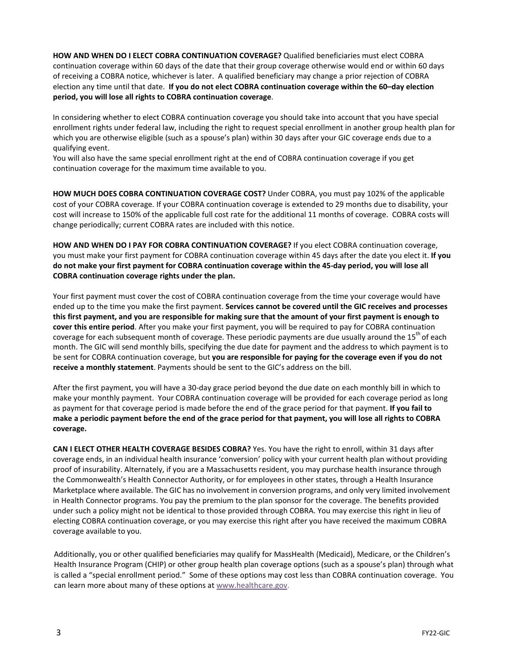**HOW AND WHEN DO I ELECT COBRA CONTINUATION COVERAGE?** Qualified beneficiaries must elect COBRA continuation coverage within 60 days of the date that their group coverage otherwise would end or within 60 days of receiving a COBRA notice, whichever is later. A qualified beneficiary may change a prior rejection of COBRA election any time until that date. **If you do not elect COBRA continuation coverage within the 60–day election period, you will lose all rights to COBRA continuation coverage**.

In considering whether to elect COBRA continuation coverage you should take into account that you have special enrollment rights under federal law, including the right to request special enrollment in another group health plan for which you are otherwise eligible (such as a spouse's plan) within 30 days after your GIC coverage ends due to a qualifying event.

You will also have the same special enrollment right at the end of COBRA continuation coverage if you get continuation coverage for the maximum time available to you.

**HOW MUCH DOES COBRA CONTINUATION COVERAGE COST?** Under COBRA, you must pay 102% of the applicable cost of your COBRA coverage. If your COBRA continuation coverage is extended to 29 months due to disability, your cost will increase to 150% of the applicable full cost rate for the additional 11 months of coverage. COBRA costs will change periodically; current COBRA rates are included with this notice.

**HOW AND WHEN DO I PAY FOR COBRA CONTINUATION COVERAGE?** If you elect COBRA continuation coverage, you must make your first payment for COBRA continuation coverage within 45 days after the date you elect it. **If you do not make your first payment for COBRA continuation coverage within the 45-day period, you will lose all COBRA continuation coverage rights under the plan.**

Your first payment must cover the cost of COBRA continuation coverage from the time your coverage would have ended up to the time you make the first payment. **Services cannot be covered until the GIC receives and processes this first payment, and you are responsible for making sure that the amount of your first payment is enough to cover this entire period**. After you make your first payment, you will be required to pay for COBRA continuation coverage for each subsequent month of coverage. These periodic payments are due usually around the 15<sup>th</sup> of each month. The GIC will send monthly bills, specifying the due date for payment and the address to which payment is to be sent for COBRA continuation coverage, but **you are responsible for paying for the coverage even if you do not receive a monthly statement**. Payments should be sent to the GIC's address on the bill.

After the first payment, you will have a 30-day grace period beyond the due date on each monthly bill in which to make your monthly payment. Your COBRA continuation coverage will be provided for each coverage period as long as payment for that coverage period is made before the end of the grace period for that payment. **If you fail to make a periodic payment before the end of the grace period for that payment, you will lose all rights to COBRA coverage.**

**CAN I ELECT OTHER HEALTH COVERAGE BESIDES COBRA?** Yes. You have the right to enroll, within 31 days after coverage ends, in an individual health insurance 'conversion' policy with your current health plan without providing proof of insurability. Alternately, if you are a Massachusetts resident, you may purchase health insurance through the Commonwealth's Health Connector Authority, or for employees in other states, through a Health Insurance Marketplace where available. The GIC has no involvement in conversion programs, and only very limited involvement in Health Connector programs. You pay the premium to the plan sponsor for the coverage. The benefits provided under such a policy might not be identical to those provided through COBRA. You may exercise this right in lieu of electing COBRA continuation coverage, or you may exercise this right after you have received the maximum COBRA coverage available to you.

Additionally, you or other qualified beneficiaries may qualify for MassHealth (Medicaid), Medicare, or the Children's Health Insurance Program (CHIP) or other group health plan coverage options (such as a spouse's plan) through what is called a "special enrollment period." Some of these options may cost less than COBRA continuation coverage. You can learn more about many of these options a[t www.healthcare.gov.](https://www.dol.gov/ebsa/www.healthcare.gov)